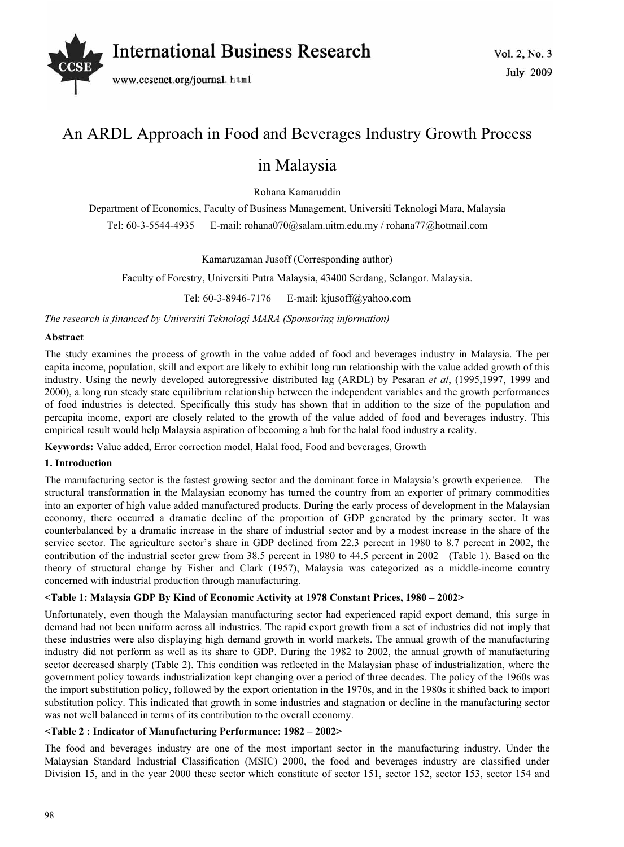

# An ARDL Approach in Food and Beverages Industry Growth Process

# in Malaysia

Rohana Kamaruddin

Department of Economics, Faculty of Business Management, Universiti Teknologi Mara, Malaysia

Tel: 60-3-5544-4935 E-mail: rohana070@salam.uitm.edu.my / rohana77@hotmail.com

Kamaruzaman Jusoff (Corresponding author)

Faculty of Forestry, Universiti Putra Malaysia, 43400 Serdang, Selangor. Malaysia.

Tel: 60-3-8946-7176 E-mail: kjusoff@yahoo.com

*The research is financed by Universiti Teknologi MARA (Sponsoring information)* 

# **Abstract**

The study examines the process of growth in the value added of food and beverages industry in Malaysia. The per capita income, population, skill and export are likely to exhibit long run relationship with the value added growth of this industry. Using the newly developed autoregressive distributed lag (ARDL) by Pesaran *et al*, (1995,1997, 1999 and 2000), a long run steady state equilibrium relationship between the independent variables and the growth performances of food industries is detected. Specifically this study has shown that in addition to the size of the population and percapita income, export are closely related to the growth of the value added of food and beverages industry. This empirical result would help Malaysia aspiration of becoming a hub for the halal food industry a reality.

**Keywords:** Value added, Error correction model, Halal food, Food and beverages, Growth

# **1. Introduction**

The manufacturing sector is the fastest growing sector and the dominant force in Malaysia's growth experience. The structural transformation in the Malaysian economy has turned the country from an exporter of primary commodities into an exporter of high value added manufactured products. During the early process of development in the Malaysian economy, there occurred a dramatic decline of the proportion of GDP generated by the primary sector. It was counterbalanced by a dramatic increase in the share of industrial sector and by a modest increase in the share of the service sector. The agriculture sector's share in GDP declined from 22.3 percent in 1980 to 8.7 percent in 2002, the contribution of the industrial sector grew from 38.5 percent in 1980 to 44.5 percent in 2002 (Table 1). Based on the theory of structural change by Fisher and Clark (1957), Malaysia was categorized as a middle-income country concerned with industrial production through manufacturing.

# **<Table 1: Malaysia GDP By Kind of Economic Activity at 1978 Constant Prices, 1980 – 2002>**

Unfortunately, even though the Malaysian manufacturing sector had experienced rapid export demand, this surge in demand had not been uniform across all industries. The rapid export growth from a set of industries did not imply that these industries were also displaying high demand growth in world markets. The annual growth of the manufacturing industry did not perform as well as its share to GDP. During the 1982 to 2002, the annual growth of manufacturing sector decreased sharply (Table 2). This condition was reflected in the Malaysian phase of industrialization, where the government policy towards industrialization kept changing over a period of three decades. The policy of the 1960s was the import substitution policy, followed by the export orientation in the 1970s, and in the 1980s it shifted back to import substitution policy. This indicated that growth in some industries and stagnation or decline in the manufacturing sector was not well balanced in terms of its contribution to the overall economy.

# **<Table 2 : Indicator of Manufacturing Performance: 1982 – 2002>**

The food and beverages industry are one of the most important sector in the manufacturing industry. Under the Malaysian Standard Industrial Classification (MSIC) 2000, the food and beverages industry are classified under Division 15, and in the year 2000 these sector which constitute of sector 151, sector 152, sector 153, sector 154 and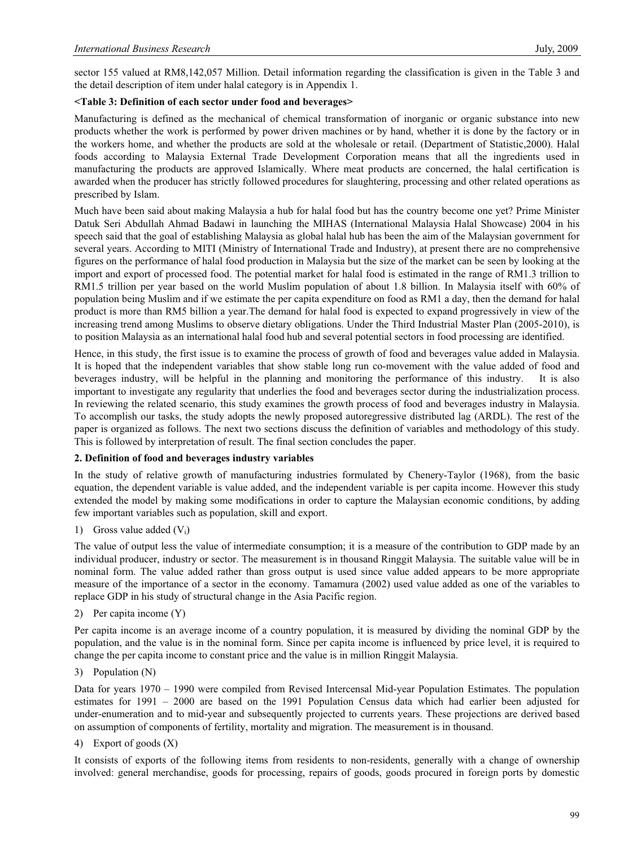sector 155 valued at RM8,142,057 Million. Detail information regarding the classification is given in the Table 3 and the detail description of item under halal category is in Appendix 1.

### **<Table 3: Definition of each sector under food and beverages>**

Manufacturing is defined as the mechanical of chemical transformation of inorganic or organic substance into new products whether the work is performed by power driven machines or by hand, whether it is done by the factory or in the workers home, and whether the products are sold at the wholesale or retail. (Department of Statistic,2000). Halal foods according to Malaysia External Trade Development Corporation means that all the ingredients used in manufacturing the products are approved Islamically. Where meat products are concerned, the halal certification is awarded when the producer has strictly followed procedures for slaughtering, processing and other related operations as prescribed by Islam.

Much have been said about making Malaysia a hub for halal food but has the country become one yet? Prime Minister Datuk Seri Abdullah Ahmad Badawi in launching the MIHAS (International Malaysia Halal Showcase) 2004 in his speech said that the goal of establishing Malaysia as global halal hub has been the aim of the Malaysian government for several years. According to MITI (Ministry of International Trade and Industry), at present there are no comprehensive figures on the performance of halal food production in Malaysia but the size of the market can be seen by looking at the import and export of processed food. The potential market for halal food is estimated in the range of RM1.3 trillion to RM1.5 trillion per year based on the world Muslim population of about 1.8 billion. In Malaysia itself with 60% of population being Muslim and if we estimate the per capita expenditure on food as RM1 a day, then the demand for halal product is more than RM5 billion a year.The demand for halal food is expected to expand progressively in view of the increasing trend among Muslims to observe dietary obligations. Under the Third Industrial Master Plan (2005-2010), is to position Malaysia as an international halal food hub and several potential sectors in food processing are identified.

Hence, in this study, the first issue is to examine the process of growth of food and beverages value added in Malaysia. It is hoped that the independent variables that show stable long run co-movement with the value added of food and beverages industry, will be helpful in the planning and monitoring the performance of this industry. It is also important to investigate any regularity that underlies the food and beverages sector during the industrialization process. In reviewing the related scenario, this study examines the growth process of food and beverages industry in Malaysia. To accomplish our tasks, the study adopts the newly proposed autoregressive distributed lag (ARDL). The rest of the paper is organized as follows. The next two sections discuss the definition of variables and methodology of this study. This is followed by interpretation of result. The final section concludes the paper.

#### **2. Definition of food and beverages industry variables**

In the study of relative growth of manufacturing industries formulated by Chenery-Taylor (1968), from the basic equation, the dependent variable is value added, and the independent variable is per capita income. However this study extended the model by making some modifications in order to capture the Malaysian economic conditions, by adding few important variables such as population, skill and export.

1) Gross value added  $(V_i)$ 

The value of output less the value of intermediate consumption; it is a measure of the contribution to GDP made by an individual producer, industry or sector. The measurement is in thousand Ringgit Malaysia. The suitable value will be in nominal form. The value added rather than gross output is used since value added appears to be more appropriate measure of the importance of a sector in the economy. Tamamura (2002) used value added as one of the variables to replace GDP in his study of structural change in the Asia Pacific region.

2) Per capita income (Y)

Per capita income is an average income of a country population, it is measured by dividing the nominal GDP by the population, and the value is in the nominal form. Since per capita income is influenced by price level, it is required to change the per capita income to constant price and the value is in million Ringgit Malaysia.

3) Population (N)

Data for years 1970 – 1990 were compiled from Revised Intercensal Mid-year Population Estimates. The population estimates for 1991 – 2000 are based on the 1991 Population Census data which had earlier been adjusted for under-enumeration and to mid-year and subsequently projected to currents years. These projections are derived based on assumption of components of fertility, mortality and migration. The measurement is in thousand.

4) Export of goods (X)

It consists of exports of the following items from residents to non-residents, generally with a change of ownership involved: general merchandise, goods for processing, repairs of goods, goods procured in foreign ports by domestic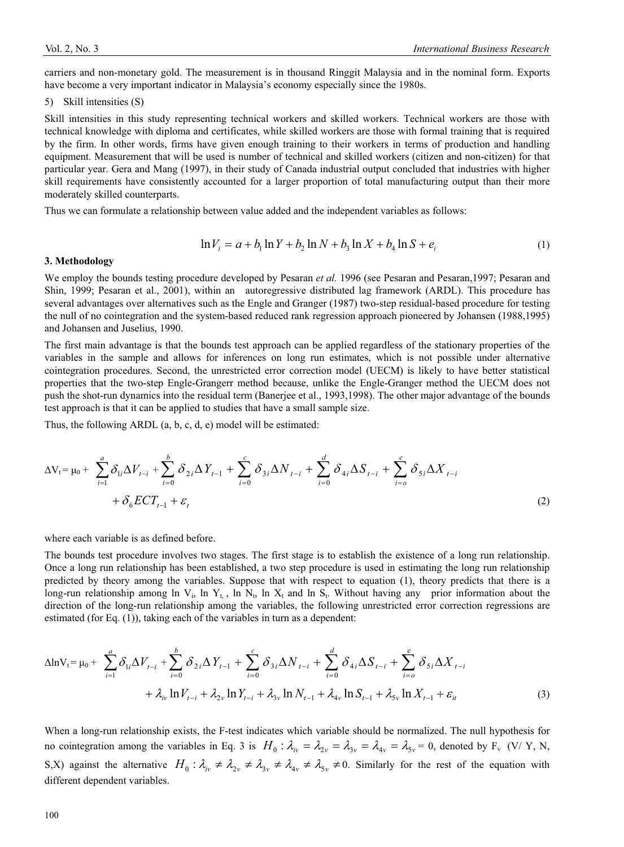carriers and non-monetary gold. The measurement is in thousand Ringgit Malaysia and in the nominal form. Exports have become a very important indicator in Malaysia's economy especially since the 1980s.

#### 5) Skill intensities (S)

Skill intensities in this study representing technical workers and skilled workers. Technical workers are those with technical knowledge with diploma and certificates, while skilled workers are those with formal training that is required by the firm. In other words, firms have given enough training to their workers in terms of production and handling equipment. Measurement that will be used is number of technical and skilled workers (citizen and non-citizen) for that particular year. Gera and Mang (1997), in their study of Canada industrial output concluded that industries with higher skill requirements have consistently accounted for a larger proportion of total manufacturing output than their more moderately skilled counterparts.

Thus we can formulate a relationship between value added and the independent variables as follows:

$$
\ln V_i = a + b_1 \ln Y + b_2 \ln N + b_3 \ln X + b_4 \ln S + e_i
$$
 (1)

#### **3. Methodology**

We employ the bounds testing procedure developed by Pesaran *et al.* 1996 (see Pesaran and Pesaran,1997; Pesaran and Shin, 1999; Pesaran et al., 2001), within an autoregressive distributed lag framework (ARDL). This procedure has several advantages over alternatives such as the Engle and Granger (1987) two-step residual-based procedure for testing the null of no cointegration and the system-based reduced rank regression approach pioneered by Johansen (1988,1995) and Johansen and Juselius, 1990.

The first main advantage is that the bounds test approach can be applied regardless of the stationary properties of the variables in the sample and allows for inferences on long run estimates, which is not possible under alternative cointegration procedures. Second, the unrestricted error correction model (UECM) is likely to have better statistical properties that the two-step Engle-Grangerr method because, unlike the Engle-Granger method the UECM does not push the shot-run dynamics into the residual term (Banerjee et al., 1993,1998). The other major advantage of the bounds test approach is that it can be applied to studies that have a small sample size.

Thus, the following ARDL (a, b, c, d, e) model will be estimated:

$$
\Delta V_{t} = \mu_{0} + \sum_{i=1}^{a} \delta_{1i} \Delta V_{t-i} + \sum_{i=0}^{b} \delta_{2i} \Delta Y_{t-1} + \sum_{i=0}^{c} \delta_{3i} \Delta N_{t-i} + \sum_{i=0}^{d} \delta_{4i} \Delta S_{t-i} + \sum_{i=0}^{e} \delta_{5i} \Delta X_{t-i} + \delta_{6} ECT_{t-1} + \varepsilon_{t}
$$
\n(2)

where each variable is as defined before.

The bounds test procedure involves two stages. The first stage is to establish the existence of a long run relationship. Once a long run relationship has been established, a two step procedure is used in estimating the long run relationship predicted by theory among the variables. Suppose that with respect to equation (1), theory predicts that there is a long-run relationship among ln  $V_i$ , ln  $Y_t$ , ln  $X_t$  and ln  $S_t$ . Without having any prior information about the direction of the long-run relationship among the variables, the following unrestricted error correction regressions are estimated (for Eq. (1)), taking each of the variables in turn as a dependent:

$$
\Delta \ln V_{t} = \mu_{0} + \sum_{i=1}^{a} \delta_{1i} \Delta V_{t-i} + \sum_{i=0}^{b} \delta_{2i} \Delta Y_{t-1} + \sum_{i=0}^{c} \delta_{3i} \Delta N_{t-i} + \sum_{i=0}^{d} \delta_{4i} \Delta S_{t-i} + \sum_{i=0}^{e} \delta_{5i} \Delta X_{t-i} + \lambda_{iv} \ln V_{t-i} + \lambda_{2v} \ln Y_{t-i} + \lambda_{3v} \ln N_{t-1} + \lambda_{4v} \ln S_{t-1} + \lambda_{5v} \ln X_{t-1} + \varepsilon_{it}
$$
\n(3)

When a long-run relationship exists, the F-test indicates which variable should be normalized. The null hypothesis for no cointegration among the variables in Eq. 3 is  $H_0: \lambda_{iv} = \lambda_{2v} = \lambda_{3v} = \lambda_{4v} = \lambda_{5v} = 0$ , denoted by F<sub>v</sub> (V/ Y, N, S,X) against the alternative  $H_0: \lambda_{iv} \neq \lambda_{2v} \neq \lambda_{3v} \neq \lambda_{4v} \neq \lambda_{5v} \neq 0$ . Similarly for the rest of the equation with different dependent variables.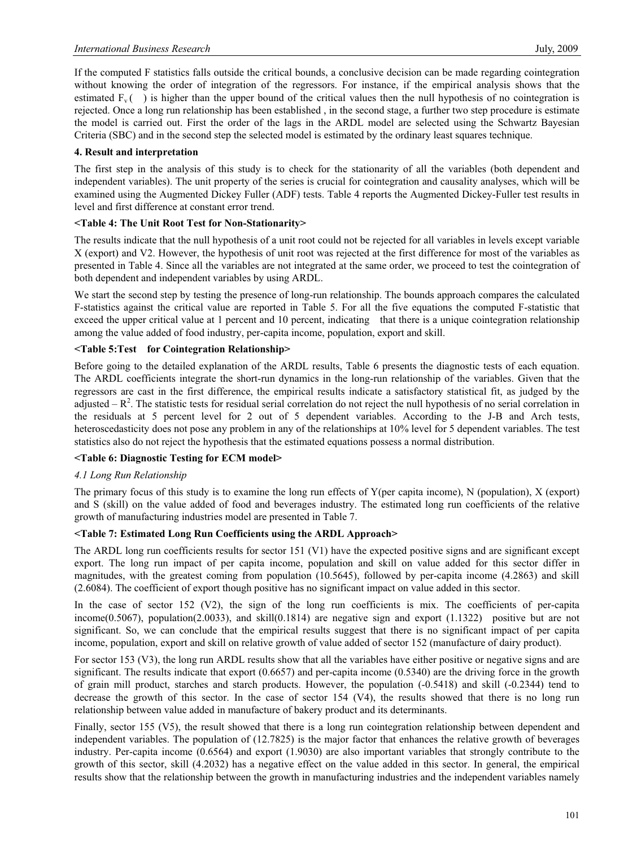If the computed F statistics falls outside the critical bounds, a conclusive decision can be made regarding cointegration without knowing the order of integration of the regressors. For instance, if the empirical analysis shows that the estimated  $F_v$  (b) is higher than the upper bound of the critical values then the null hypothesis of no cointegration is rejected. Once a long run relationship has been established , in the second stage, a further two step procedure is estimate the model is carried out. First the order of the lags in the ARDL model are selected using the Schwartz Bayesian Criteria (SBC) and in the second step the selected model is estimated by the ordinary least squares technique.

### **4. Result and interpretation**

The first step in the analysis of this study is to check for the stationarity of all the variables (both dependent and independent variables). The unit property of the series is crucial for cointegration and causality analyses, which will be examined using the Augmented Dickey Fuller (ADF) tests. Table 4 reports the Augmented Dickey-Fuller test results in level and first difference at constant error trend.

### **<Table 4: The Unit Root Test for Non-Stationarity>**

The results indicate that the null hypothesis of a unit root could not be rejected for all variables in levels except variable X (export) and V2. However, the hypothesis of unit root was rejected at the first difference for most of the variables as presented in Table 4. Since all the variables are not integrated at the same order, we proceed to test the cointegration of both dependent and independent variables by using ARDL.

We start the second step by testing the presence of long-run relationship. The bounds approach compares the calculated F-statistics against the critical value are reported in Table 5. For all the five equations the computed F-statistic that exceed the upper critical value at 1 percent and 10 percent, indicating that there is a unique cointegration relationship among the value added of food industry, per-capita income, population, export and skill.

### **<Table 5:Test for Cointegration Relationship>**

Before going to the detailed explanation of the ARDL results, Table 6 presents the diagnostic tests of each equation. The ARDL coefficients integrate the short-run dynamics in the long-run relationship of the variables. Given that the regressors are cast in the first difference, the empirical results indicate a satisfactory statistical fit, as judged by the adjusted  $-R<sup>2</sup>$ . The statistic tests for residual serial correlation do not reject the null hypothesis of no serial correlation in the residuals at 5 percent level for 2 out of 5 dependent variables. According to the J-B and Arch tests, heteroscedasticity does not pose any problem in any of the relationships at 10% level for 5 dependent variables. The test statistics also do not reject the hypothesis that the estimated equations possess a normal distribution.

# **<Table 6: Diagnostic Testing for ECM model>**

#### *4.1 Long Run Relationship*

The primary focus of this study is to examine the long run effects of Y(per capita income), N (population), X (export) and S (skill) on the value added of food and beverages industry. The estimated long run coefficients of the relative growth of manufacturing industries model are presented in Table 7.

#### **<Table 7: Estimated Long Run Coefficients using the ARDL Approach>**

The ARDL long run coefficients results for sector 151 (V1) have the expected positive signs and are significant except export. The long run impact of per capita income, population and skill on value added for this sector differ in magnitudes, with the greatest coming from population (10.5645), followed by per-capita income (4.2863) and skill (2.6084). The coefficient of export though positive has no significant impact on value added in this sector.

In the case of sector 152 (V2), the sign of the long run coefficients is mix. The coefficients of per-capita income(0.5067), population(2.0033), and skill(0.1814) are negative sign and export (1.1322) positive but are not significant. So, we can conclude that the empirical results suggest that there is no significant impact of per capita income, population, export and skill on relative growth of value added of sector 152 (manufacture of dairy product).

For sector 153 (V3), the long run ARDL results show that all the variables have either positive or negative signs and are significant. The results indicate that export (0.6657) and per-capita income (0.5340) are the driving force in the growth of grain mill product, starches and starch products. However, the population (-0.5418) and skill (-0.2344) tend to decrease the growth of this sector. In the case of sector 154 (V4), the results showed that there is no long run relationship between value added in manufacture of bakery product and its determinants.

Finally, sector 155 (V5), the result showed that there is a long run cointegration relationship between dependent and independent variables. The population of (12.7825) is the major factor that enhances the relative growth of beverages industry. Per-capita income (0.6564) and export (1.9030) are also important variables that strongly contribute to the growth of this sector, skill (4.2032) has a negative effect on the value added in this sector. In general, the empirical results show that the relationship between the growth in manufacturing industries and the independent variables namely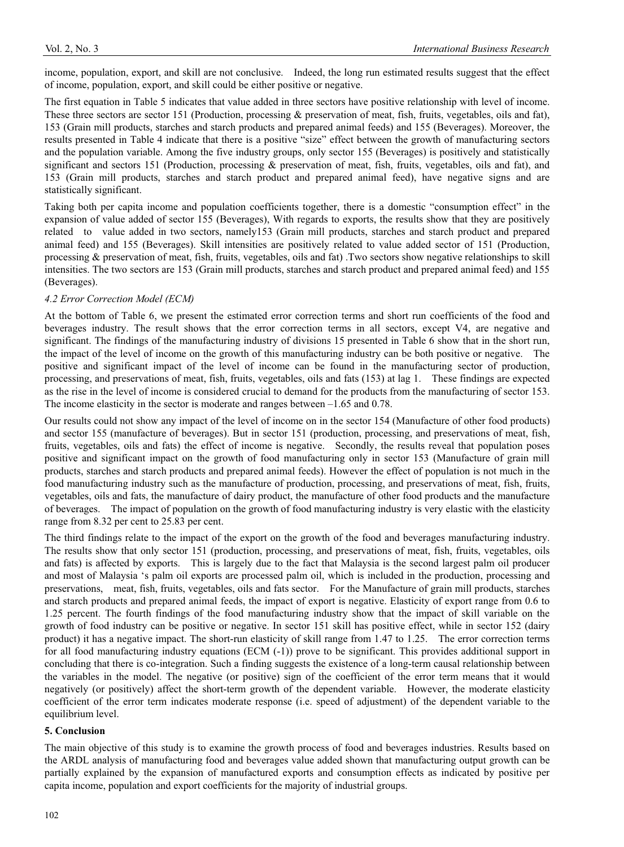income, population, export, and skill are not conclusive. Indeed, the long run estimated results suggest that the effect of income, population, export, and skill could be either positive or negative.

The first equation in Table 5 indicates that value added in three sectors have positive relationship with level of income. These three sectors are sector 151 (Production, processing  $\&$  preservation of meat, fish, fruits, vegetables, oils and fat), 153 (Grain mill products, starches and starch products and prepared animal feeds) and 155 (Beverages). Moreover, the results presented in Table 4 indicate that there is a positive "size" effect between the growth of manufacturing sectors and the population variable. Among the five industry groups, only sector 155 (Beverages) is positively and statistically significant and sectors 151 (Production, processing & preservation of meat, fish, fruits, vegetables, oils and fat), and 153 (Grain mill products, starches and starch product and prepared animal feed), have negative signs and are statistically significant.

Taking both per capita income and population coefficients together, there is a domestic "consumption effect" in the expansion of value added of sector 155 (Beverages), With regards to exports, the results show that they are positively related to value added in two sectors, namely153 (Grain mill products, starches and starch product and prepared animal feed) and 155 (Beverages). Skill intensities are positively related to value added sector of 151 (Production, processing & preservation of meat, fish, fruits, vegetables, oils and fat) .Two sectors show negative relationships to skill intensities. The two sectors are 153 (Grain mill products, starches and starch product and prepared animal feed) and 155 (Beverages).

### *4.2 Error Correction Model (ECM)*

At the bottom of Table 6, we present the estimated error correction terms and short run coefficients of the food and beverages industry. The result shows that the error correction terms in all sectors, except V4, are negative and significant. The findings of the manufacturing industry of divisions 15 presented in Table 6 show that in the short run, the impact of the level of income on the growth of this manufacturing industry can be both positive or negative. The positive and significant impact of the level of income can be found in the manufacturing sector of production, processing, and preservations of meat, fish, fruits, vegetables, oils and fats (153) at lag 1. These findings are expected as the rise in the level of income is considered crucial to demand for the products from the manufacturing of sector 153. The income elasticity in the sector is moderate and ranges between –1.65 and 0.78.

Our results could not show any impact of the level of income on in the sector 154 (Manufacture of other food products) and sector 155 (manufacture of beverages). But in sector 151 (production, processing, and preservations of meat, fish, fruits, vegetables, oils and fats) the effect of income is negative. Secondly, the results reveal that population poses positive and significant impact on the growth of food manufacturing only in sector 153 (Manufacture of grain mill products, starches and starch products and prepared animal feeds). However the effect of population is not much in the food manufacturing industry such as the manufacture of production, processing, and preservations of meat, fish, fruits, vegetables, oils and fats, the manufacture of dairy product, the manufacture of other food products and the manufacture of beverages. The impact of population on the growth of food manufacturing industry is very elastic with the elasticity range from 8.32 per cent to 25.83 per cent.

The third findings relate to the impact of the export on the growth of the food and beverages manufacturing industry. The results show that only sector 151 (production, processing, and preservations of meat, fish, fruits, vegetables, oils and fats) is affected by exports. This is largely due to the fact that Malaysia is the second largest palm oil producer and most of Malaysia 's palm oil exports are processed palm oil, which is included in the production, processing and preservations, meat, fish, fruits, vegetables, oils and fats sector. For the Manufacture of grain mill products, starches and starch products and prepared animal feeds, the impact of export is negative. Elasticity of export range from 0.6 to 1.25 percent. The fourth findings of the food manufacturing industry show that the impact of skill variable on the growth of food industry can be positive or negative. In sector 151 skill has positive effect, while in sector 152 (dairy product) it has a negative impact. The short-run elasticity of skill range from 1.47 to 1.25. The error correction terms for all food manufacturing industry equations (ECM (-1)) prove to be significant. This provides additional support in concluding that there is co-integration. Such a finding suggests the existence of a long-term causal relationship between the variables in the model. The negative (or positive) sign of the coefficient of the error term means that it would negatively (or positively) affect the short-term growth of the dependent variable. However, the moderate elasticity coefficient of the error term indicates moderate response (i.e. speed of adjustment) of the dependent variable to the equilibrium level.

#### **5. Conclusion**

The main objective of this study is to examine the growth process of food and beverages industries. Results based on the ARDL analysis of manufacturing food and beverages value added shown that manufacturing output growth can be partially explained by the expansion of manufactured exports and consumption effects as indicated by positive per capita income, population and export coefficients for the majority of industrial groups.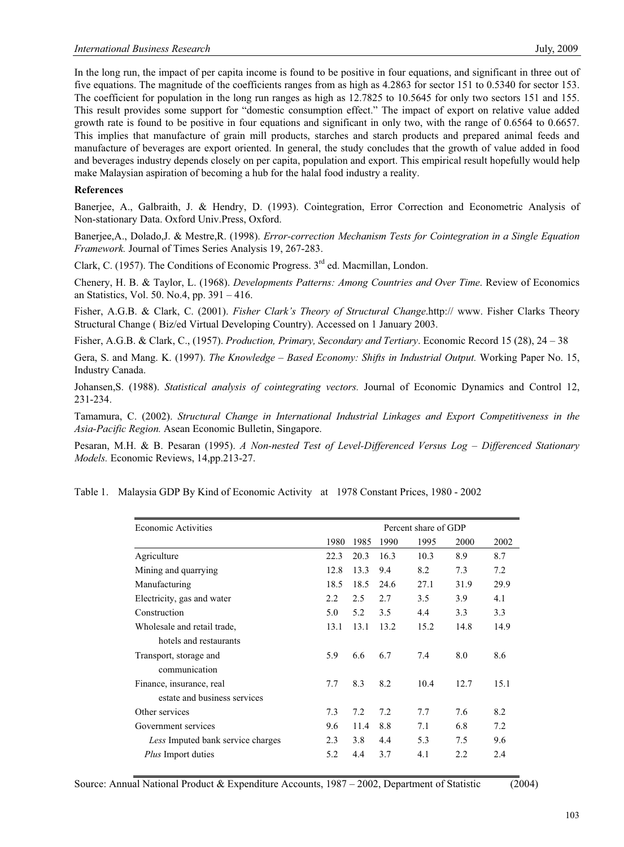In the long run, the impact of per capita income is found to be positive in four equations, and significant in three out of five equations. The magnitude of the coefficients ranges from as high as 4.2863 for sector 151 to 0.5340 for sector 153. The coefficient for population in the long run ranges as high as 12.7825 to 10.5645 for only two sectors 151 and 155. This result provides some support for "domestic consumption effect." The impact of export on relative value added growth rate is found to be positive in four equations and significant in only two, with the range of 0.6564 to 0.6657. This implies that manufacture of grain mill products, starches and starch products and prepared animal feeds and manufacture of beverages are export oriented. In general, the study concludes that the growth of value added in food and beverages industry depends closely on per capita, population and export. This empirical result hopefully would help make Malaysian aspiration of becoming a hub for the halal food industry a reality.

#### **References**

Banerjee, A., Galbraith, J. & Hendry, D. (1993). Cointegration, Error Correction and Econometric Analysis of Non-stationary Data. Oxford Univ.Press, Oxford.

Banerjee,A., Dolado,J. & Mestre,R. (1998). *Error-correction Mechanism Tests for Cointegration in a Single Equation Framework.* Journal of Times Series Analysis 19, 267-283.

Clark, C. (1957). The Conditions of Economic Progress. 3<sup>rd</sup> ed. Macmillan, London.

Chenery, H. B. & Taylor, L. (1968). *Developments Patterns: Among Countries and Over Time*. Review of Economics an Statistics, Vol. 50. No.4, pp. 391 – 416.

Fisher, A.G.B. & Clark, C. (2001). *Fisher Clark's Theory of Structural Change*.http:// www. Fisher Clarks Theory Structural Change ( Biz/ed Virtual Developing Country). Accessed on 1 January 2003.

Fisher, A.G.B. & Clark, C., (1957). *Production, Primary, Secondary and Tertiary*. Economic Record 15 (28), 24 – 38

Gera, S. and Mang. K. (1997). *The Knowledge – Based Economy: Shifts in Industrial Output.* Working Paper No. 15, Industry Canada.

Johansen,S. (1988). *Statistical analysis of cointegrating vectors.* Journal of Economic Dynamics and Control 12, 231-234.

Tamamura, C. (2002). *Structural Change in International Industrial Linkages and Export Competitiveness in the Asia-Pacific Region.* Asean Economic Bulletin, Singapore.

Pesaran, M.H. & B. Pesaran (1995). *A Non-nested Test of Level-Differenced Versus Log – Differenced Stationary Models.* Economic Reviews, 14,pp.213-27.

|  |  |  | Table 1. Malaysia GDP By Kind of Economic Activity at 1978 Constant Prices, 1980 - 2002 |  |  |  |  |  |  |
|--|--|--|-----------------------------------------------------------------------------------------|--|--|--|--|--|--|
|--|--|--|-----------------------------------------------------------------------------------------|--|--|--|--|--|--|

| <b>Economic Activities</b>        |      | Percent share of GDP |      |      |      |      |  |  |
|-----------------------------------|------|----------------------|------|------|------|------|--|--|
|                                   | 1980 | 1985                 | 1990 | 1995 | 2000 | 2002 |  |  |
| Agriculture                       | 22.3 | 20.3                 | 16.3 | 10.3 | 8.9  | 8.7  |  |  |
| Mining and quarrying              | 12.8 | 13.3                 | 9.4  | 8.2  | 7.3  | 7.2  |  |  |
| Manufacturing                     | 18.5 | 18.5                 | 24.6 | 27.1 | 31.9 | 29.9 |  |  |
| Electricity, gas and water        | 2.2  | 2.5                  | 2.7  | 3.5  | 3.9  | 4.1  |  |  |
| Construction                      | 5.0  | 5.2                  | 3.5  | 4.4  | 3.3  | 3.3  |  |  |
| Wholesale and retail trade,       | 13.1 | 13.1                 | 13.2 | 15.2 | 14.8 | 14.9 |  |  |
| hotels and restaurants            |      |                      |      |      |      |      |  |  |
| Transport, storage and            | 5.9  | 6.6                  | 6.7  | 7.4  | 8.0  | 8.6  |  |  |
| communication                     |      |                      |      |      |      |      |  |  |
| Finance, insurance, real          | 7.7  | 8.3                  | 8.2  | 10.4 | 12.7 | 15.1 |  |  |
| estate and business services      |      |                      |      |      |      |      |  |  |
| Other services                    | 7.3  | 7.2                  | 7.2  | 7.7  | 7.6  | 8.2  |  |  |
| Government services               | 9.6  | 11.4                 | 8.8  | 7.1  | 6.8  | 7.2  |  |  |
| Less Imputed bank service charges | 2.3  | 3.8                  | 4.4  | 5.3  | 7.5  | 9.6  |  |  |
| Plus Import duties                | 5.2  | 4.4                  | 3.7  | 4.1  | 2.2  | 2.4  |  |  |
|                                   |      |                      |      |      |      |      |  |  |

Source: Annual National Product & Expenditure Accounts, 1987 – 2002, Department of Statistic (2004)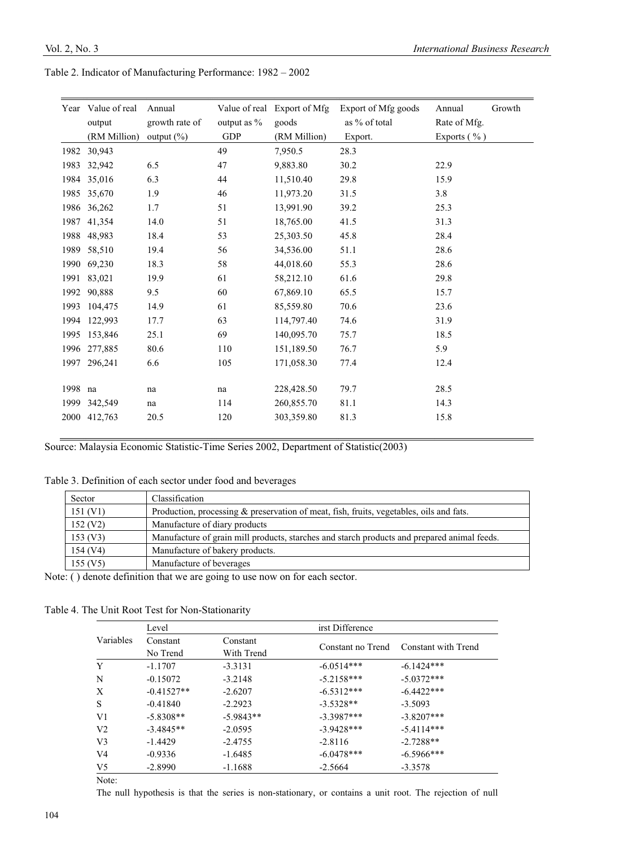|      | Year Value of real | Annual         |             | Value of real Export of Mfg | Export of Mfg goods | Growth<br>Annual |
|------|--------------------|----------------|-------------|-----------------------------|---------------------|------------------|
|      | output             | growth rate of | output as % | goods                       | as % of total       | Rate of Mfg.     |
|      | (RM Million)       | output $(\%)$  | GDP         | (RM Million)                | Export.             | Exports $(\% )$  |
| 1982 | 30,943             |                | 49          | 7,950.5                     | 28.3                |                  |
| 1983 | 32,942             | 6.5            | 47          | 9,883.80                    | 30.2                | 22.9             |
| 1984 | 35,016             | 6.3            | 44          | 11,510.40                   | 29.8                | 15.9             |
| 1985 | 35,670             | 1.9            | 46          | 11,973.20                   | 31.5                | 3.8              |
| 1986 | 36,262             | 1.7            | 51          | 13,991.90                   | 39.2                | 25.3             |
| 1987 | 41,354             | 14.0           | 51          | 18,765.00                   | 41.5                | 31.3             |
| 1988 | 48,983             | 18.4           | 53          | 25,303.50                   | 45.8                | 28.4             |
| 1989 | 58,510             | 19.4           | 56          | 34,536.00                   | 51.1                | 28.6             |
| 1990 | 69,230             | 18.3           | 58          | 44,018.60                   | 55.3                | 28.6             |
| 1991 | 83,021             | 19.9           | 61          | 58,212.10                   | 61.6                | 29.8             |
| 1992 | 90,888             | 9.5            | 60          | 67,869.10                   | 65.5                | 15.7             |
| 1993 | 104,475            | 14.9           | 61          | 85,559.80                   | 70.6                | 23.6             |
| 1994 | 122,993            | 17.7           | 63          | 114,797.40                  | 74.6                | 31.9             |
| 1995 | 153,846            | 25.1           | 69          | 140,095.70                  | 75.7                | 18.5             |
| 1996 | 277,885            | 80.6           | 110         | 151,189.50                  | 76.7                | 5.9              |
| 1997 | 296,241            | 6.6            | 105         | 171,058.30                  | 77.4                | 12.4             |
|      |                    |                |             |                             |                     |                  |
| 1998 | na                 | na             | na          | 228,428.50                  | 79.7                | 28.5             |
| 1999 | 342,549            | na             | 114         | 260,855.70                  | 81.1                | 14.3             |
| 2000 | 412,763            | 20.5           | 120         | 303,359.80                  | 81.3                | 15.8             |

Table 2. Indicator of Manufacturing Performance: 1982 – 2002

Source: Malaysia Economic Statistic-Time Series 2002, Department of Statistic(2003)

Table 3. Definition of each sector under food and beverages

| Sector   | Classification                                                                              |
|----------|---------------------------------------------------------------------------------------------|
| 151 (V1) | Production, processing & preservation of meat, fish, fruits, vegetables, oils and fats.     |
| 152 (V2) | Manufacture of diary products                                                               |
| 153 (V3) | Manufacture of grain mill products, starches and starch products and prepared animal feeds. |
| 154 (V4) | Manufacture of bakery products.                                                             |
| 155 (V5) | Manufacture of beverages                                                                    |

Note: ( ) denote definition that we are going to use now on for each sector.

Table 4. The Unit Root Test for Non-Stationarity

|                | Level        |             | irst Difference   |                     |  |  |
|----------------|--------------|-------------|-------------------|---------------------|--|--|
| Variables      | Constant     | Constant    |                   |                     |  |  |
|                | No Trend     | With Trend  | Constant no Trend | Constant with Trend |  |  |
| Y              | $-1.1707$    | $-3.3131$   | $-6.0514***$      | $-6.1424***$        |  |  |
| N              | $-0.15072$   | $-3.2148$   | $-5.2158***$      | $-5.0372***$        |  |  |
| X              | $-0.41527**$ | $-2.6207$   | $-6.5312***$      | $-6.4422***$        |  |  |
| S              | $-0.41840$   | $-2.2923$   | $-3.5328**$       | $-3.5093$           |  |  |
| V1             | $-5.8308**$  | $-5.9843**$ | $-3.3987***$      | $-3.8207***$        |  |  |
| V <sub>2</sub> | $-3.4845**$  | $-2.0595$   | $-3.9428***$      | $-5.4114***$        |  |  |
| V3             | $-1.4429$    | $-2.4755$   | $-2.8116$         | $-2.7288**$         |  |  |
| V4             | $-0.9336$    | $-1.6485$   | $-6.0478***$      | $-6.5966***$        |  |  |
| V5             | $-2.8990$    | $-1.1688$   | $-2.5664$         | $-3.3578$           |  |  |

Note:

The null hypothesis is that the series is non-stationary, or contains a unit root. The rejection of null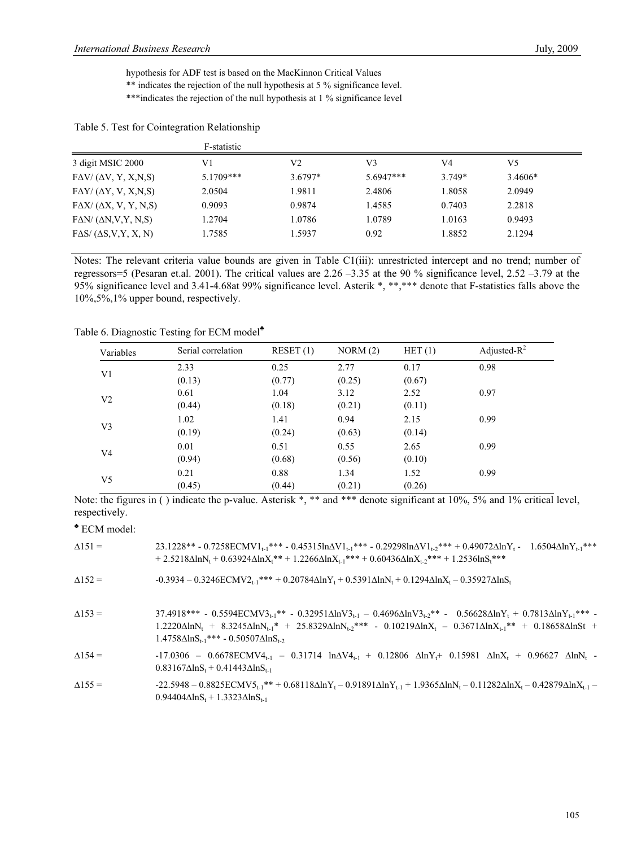hypothesis for ADF test is based on the MacKinnon Critical Values \*\* indicates the rejection of the null hypothesis at 5 % significance level. \*\*\*indicates the rejection of the null hypothesis at 1 % significance level

|                                    | F-statistic |           |             |          |           |  |
|------------------------------------|-------------|-----------|-------------|----------|-----------|--|
| 3 digit MSIC 2000                  | V1          | V2        | V3          | V4       | V5        |  |
| $FAV/(\Delta V, Y, X, N, S)$       | $5.1709***$ | $3.6797*$ | $5.6947***$ | $3.749*$ | $3.4606*$ |  |
| $FAY/(\Delta Y, V, X, N, S)$       | 2.0504      | 1.9811    | 2.4806      | 1.8058   | 2.0949    |  |
| $FAX/(\Delta X, V, Y, N,S)$        | 0.9093      | 0.9874    | 1.4585      | 0.7403   | 2.2818    |  |
| $F\Delta N/(\Delta N, V, Y, N, S)$ | 1.2704      | 1.0786    | 1.0789      | 1.0163   | 0.9493    |  |
| $F\Delta S/(\Delta S,V,Y,X,N)$     | 1.7585      | 1.5937    | 0.92        | 1.8852   | 2.1294    |  |
|                                    |             |           |             |          |           |  |

Table 5. Test for Cointegration Relationship

Notes: The relevant criteria value bounds are given in Table C1(iii): unrestricted intercept and no trend; number of regressors=5 (Pesaran et.al. 2001). The critical values are 2.26 –3.35 at the 90 % significance level, 2.52 –3.79 at the 95% significance level and 3.41-4.68at 99% significance level. Asterik \*, \*\*,\*\*\* denote that F-statistics falls above the 10%,5%,1% upper bound, respectively.

Table 6. Diagnostic Testing for ECM model<sup>\*</sup>

| Variables      | Serial correlation | RESET(1) | NORM(2) | HET(1) | Adjusted- $R^2$ |
|----------------|--------------------|----------|---------|--------|-----------------|
|                | 2.33               | 0.25     | 2.77    | 0.17   | 0.98            |
| V <sub>1</sub> | (0.13)             | (0.77)   | (0.25)  | (0.67) |                 |
|                | 0.61               | 1.04     | 3.12    | 2.52   | 0.97            |
| V <sub>2</sub> | (0.44)             | (0.18)   | (0.21)  | (0.11) |                 |
| V3             | 1.02               | 1.41     | 0.94    | 2.15   | 0.99            |
|                | (0.19)             | (0.24)   | (0.63)  | (0.14) |                 |
| V4             | 0.01               | 0.51     | 0.55    | 2.65   | 0.99            |
|                | (0.94)             | (0.68)   | (0.56)  | (0.10) |                 |
|                | 0.21               | 0.88     | 1.34    | 1.52   | 0.99            |
| V5             | (0.45)             | (0.44)   | (0.21)  | (0.26) |                 |

Note: the figures in ( ) indicate the p-value. Asterisk \*, \*\* and \*\*\* denote significant at 10%, 5% and 1% critical level, respectively.

ƅ ECM model:

| $\Delta$ 151 =    | 23.1228** - 0.7258ECMV1 <sub>1-1</sub> *** - 0.45315ln $\Delta$ V1 <sub>1-1</sub> *** - 0.29298ln $\Delta$ V1 <sub>1-2</sub> *** + 0.49072 $\Delta$ lnY <sub>1</sub> - 1.6504 $\Delta$ lnY <sub>1-1</sub> ***<br>$+ 2.5218 \Delta \text{ln}N_\text{t} + 0.63924 \Delta \text{ln}X_\text{t}^{**} + 1.2266 \Delta \text{ln}X_\text{t-1}^{***} + 0.60436 \Delta \text{ln}X_\text{t-2}^{***} + 1.2536 \text{ln}S_\text{t}^{***}$                                 |
|-------------------|--------------------------------------------------------------------------------------------------------------------------------------------------------------------------------------------------------------------------------------------------------------------------------------------------------------------------------------------------------------------------------------------------------------------------------------------------------------|
| $\triangle$ 152 = | $-0.3934 - 0.3246$ ECMV2 <sub>t-1</sub> *** + 0.20784 $\Delta$ lnY <sub>t</sub> + 0.5391 $\Delta$ lnN <sub>t</sub> + 0.1294 $\Delta$ lnX <sub>t</sub> – 0.35927 $\Delta$ lnS <sub>t</sub>                                                                                                                                                                                                                                                                    |
| $\Delta 153 =$    | $37.4918***$ - 0.5594ECMV3 <sub>1-1</sub> ** - 0.32951 $\Delta$ lnV3 <sub>1-1</sub> - 0.4696 $\Delta$ lnV3 <sub>1-2</sub> ** - 0.56628 $\Delta$ lnY <sub>1</sub> + 0.7813 $\Delta$ lnY <sub>1-1</sub> *** -<br>$1.2220 \Delta \ln N_1 + 8.3245 \Delta \ln N_{t,1}^* + 25.8329 \Delta \ln N_{t,2}^{***} - 0.10219 \Delta \ln X_t - 0.3671 \Delta \ln X_{t,1}^{**} + 0.18658 \Delta \ln St +$<br>$1.4758\Delta \ln S_{t,1}$ *** - 0.50507 $\Delta \ln S_{t,2}$ |
| $\triangle$ 154 = | $-17.0306 - 0.6678$ ECMV4 <sub>t-1</sub> - 0.31714 $ln\Delta V4_{t-1} + 0.12806 \Delta lnY_t + 0.15981 \Delta lnX_t + 0.96627 \Delta lnX_t -$<br>$0.83167\Delta$ lnS <sub>t</sub> + 0.41443 $\Delta$ lnS <sub>t-1</sub>                                                                                                                                                                                                                                      |
| $\Delta 155 =$    | $-22.5948 - 0.8825$ ECMV $5_{t-1}$ ** + 0.68118 $\Delta$ lnY <sub>t</sub> - 0.91891 $\Delta$ lnY <sub>t-1</sub> + 1.9365 $\Delta$ lnN <sub>t</sub> - 0.11282 $\Delta$ lnX <sub>t</sub> - 0.42879 $\Delta$ lnX <sub>t-1</sub> -<br>$0.94404\Delta$ lnS <sub>t</sub> + 1.3323 $\Delta$ lnS <sub>t-1</sub>                                                                                                                                                      |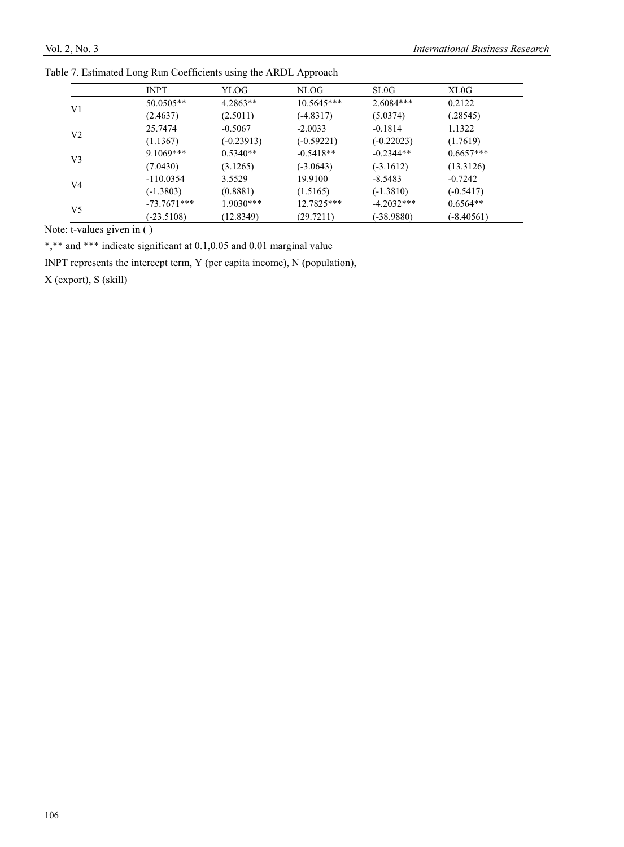|                | <b>INPT</b>   | YLOG         | <b>NLOG</b>  | <b>SLOG</b>  | XL <sub>0</sub> G |
|----------------|---------------|--------------|--------------|--------------|-------------------|
|                | $50.0505**$   | $4.2863**$   | $10.5645***$ | $2.6084***$  | 0.2122            |
| V1             | (2.4637)      | (2.5011)     | $(-4.8317)$  | (5.0374)     | (.28545)          |
|                | 25.7474       | $-0.5067$    | $-2.0033$    | $-0.1814$    | 1.1322            |
| V2             | (1.1367)      | $(-0.23913)$ | $(-0.59221)$ | $(-0.22023)$ | (1.7619)          |
|                | $9.1069***$   | $0.5340**$   | $-0.5418**$  | $-0.2344**$  | $0.6657***$       |
| V3             | (7.0430)      | (3.1265)     | $(-3.0643)$  | $(-3.1612)$  | (13.3126)         |
|                | $-110.0354$   | 3.5529       | 19.9100      | $-8.5483$    | $-0.7242$         |
| V4             | $(-1.3803)$   | (0.8881)     | (1.5165)     | $(-1.3810)$  | $(-0.5417)$       |
| V <sub>5</sub> | $-73.7671***$ | $1.9030***$  | 12.7825***   | $-4.2032***$ | $0.6564**$        |
|                | $(-23.5108)$  | (12.8349)    | (29.7211)    | $(-38.9880)$ | $(-8.40561)$      |

Table 7. Estimated Long Run Coefficients using the ARDL Approach

Note: t-values given in ( )

\*,\*\* and \*\*\* indicate significant at 0.1,0.05 and 0.01 marginal value

INPT represents the intercept term, Y (per capita income), N (population),

X (export), S (skill)